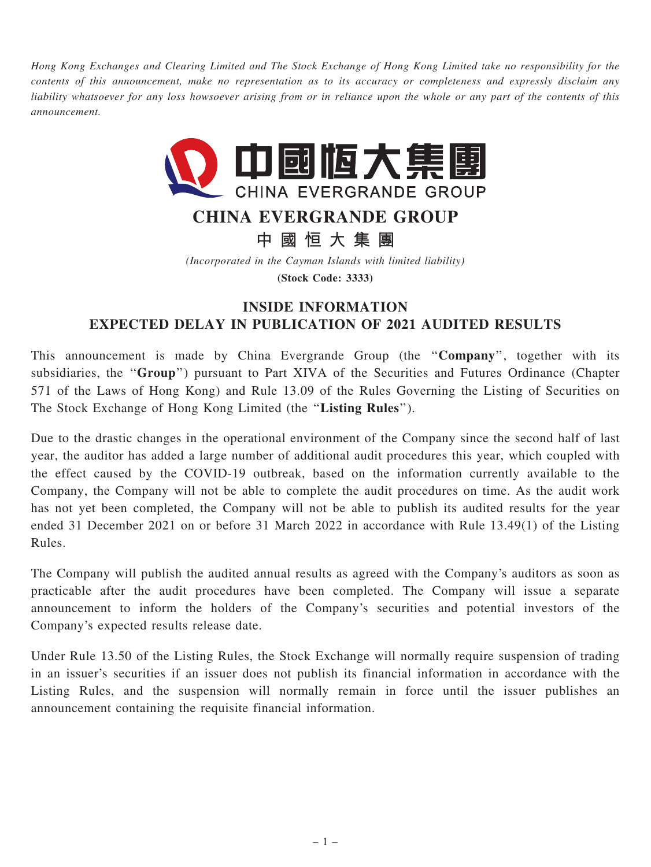Hong Kong Exchanges and Clearing Limited and The Stock Exchange of Hong Kong Limited take no responsibility for the contents of this announcement, make no representation as to its accuracy or completeness and expressly disclaim any liability whatsoever for any loss howsoever arising from or in reliance upon the whole or any part of the contents of this announcement.



## CHINA EVERGRANDE GROUP

中 國 恒 大 集 團

(Incorporated in the Cayman Islands with limited liability)

(Stock Code: 3333)

## INSIDE INFORMATION EXPECTED DELAY IN PUBLICATION OF 2021 AUDITED RESULTS

This announcement is made by China Evergrande Group (the "Company", together with its subsidiaries, the "Group") pursuant to Part XIVA of the Securities and Futures Ordinance (Chapter 571 of the Laws of Hong Kong) and Rule 13.09 of the Rules Governing the Listing of Securities on The Stock Exchange of Hong Kong Limited (the ''Listing Rules'').

Due to the drastic changes in the operational environment of the Company since the second half of last year, the auditor has added a large number of additional audit procedures this year, which coupled with the effect caused by the COVID-19 outbreak, based on the information currently available to the Company, the Company will not be able to complete the audit procedures on time. As the audit work has not yet been completed, the Company will not be able to publish its audited results for the year ended 31 December 2021 on or before 31 March 2022 in accordance with Rule 13.49(1) of the Listing Rules.

The Company will publish the audited annual results as agreed with the Company's auditors as soon as practicable after the audit procedures have been completed. The Company will issue a separate announcement to inform the holders of the Company's securities and potential investors of the Company's expected results release date.

Under Rule 13.50 of the Listing Rules, the Stock Exchange will normally require suspension of trading in an issuer's securities if an issuer does not publish its financial information in accordance with the Listing Rules, and the suspension will normally remain in force until the issuer publishes an announcement containing the requisite financial information.